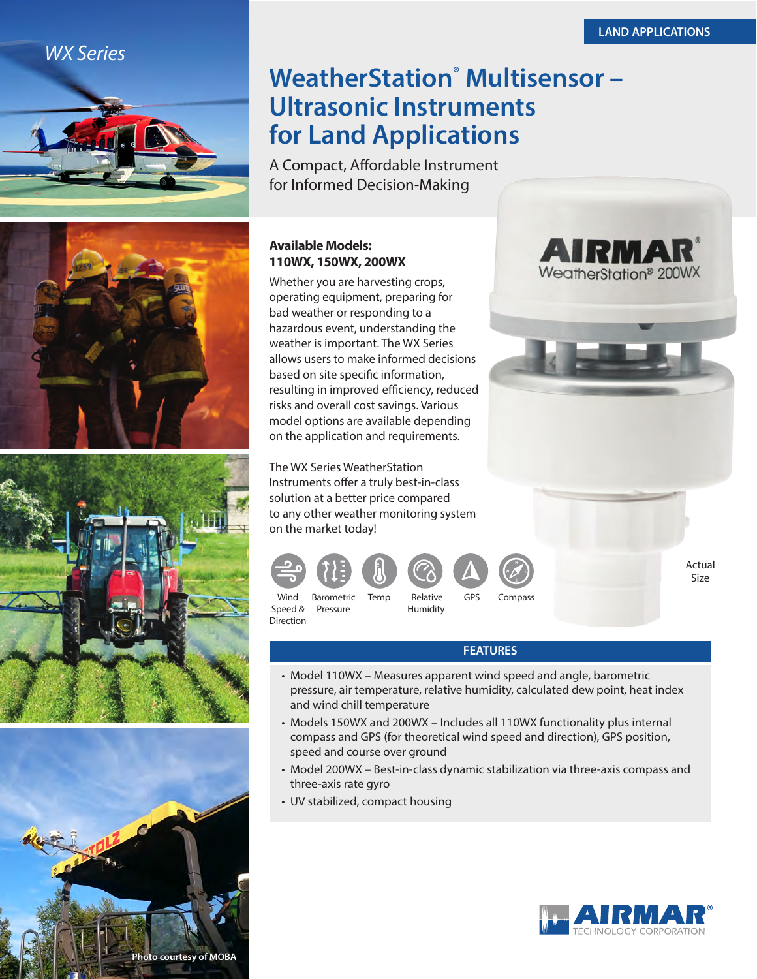**AIRMA** WeatherStation<sup>®</sup> 200WX

## *WX Series*









# **WeatherStation<sup>®</sup> Multisensor -Ultrasonic Instruments for Land Applications**

A Compact, Affordable Instrument for Informed Decision-Making

## **Available Models: 110WX, 150WX, 200WX**

Whether you are harvesting crops, operating equipment, preparing for bad weather or responding to a hazardous event, understanding the weather is important. The WX Series allows users to make informed decisions based on site specific information, resulting in improved efficiency, reduced risks and overall cost savings. Various model options are available depending on the application and requirements.

The WX Series WeatherStation Instruments offer a truly best-in-class solution at a better price compared to any other weather monitoring system on the market today!



Speed & Pressure Humidity Direction

Actual Size

### **FEATURES**

- Model 110WX Measures apparent wind speed and angle, barometric pressure, air temperature, relative humidity, calculated dew point, heat index and wind chill temperature
- Models 150WX and 200WX Includes all 110WX functionality plus internal compass and GPS (for theoretical wind speed and direction), GPS position, speed and course over ground
- Model 200WX Best-in-class dynamic stabilization via three-axis compass and three-axis rate gyro
- UV stabilized, compact housing

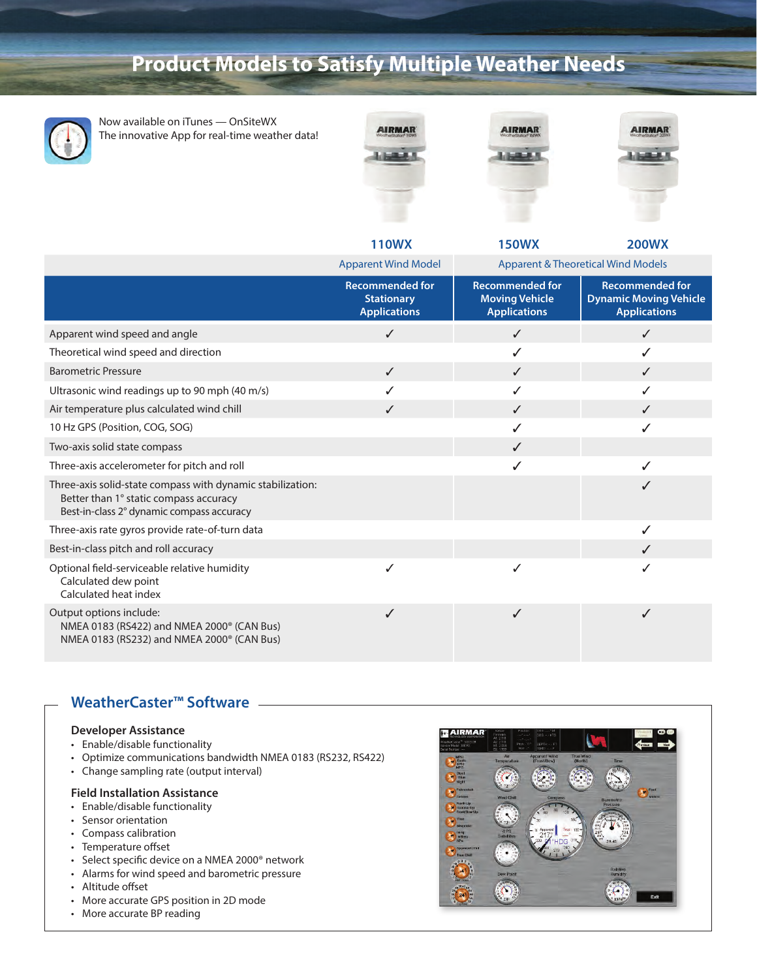# **Product Models to Satisfy Multiple Weather Needs**



Now available on iTunes — OnSiteWX The innovative App for real-time weather data!







|                                                                                                                                                   | <b>110WX</b>                                                       | <b>150WX</b>                                                           | <b>200WX</b>                                                                   |
|---------------------------------------------------------------------------------------------------------------------------------------------------|--------------------------------------------------------------------|------------------------------------------------------------------------|--------------------------------------------------------------------------------|
|                                                                                                                                                   | <b>Apparent Wind Model</b>                                         | <b>Apparent &amp; Theoretical Wind Models</b>                          |                                                                                |
|                                                                                                                                                   | <b>Recommended for</b><br><b>Stationary</b><br><b>Applications</b> | <b>Recommended for</b><br><b>Moving Vehicle</b><br><b>Applications</b> | <b>Recommended for</b><br><b>Dynamic Moving Vehicle</b><br><b>Applications</b> |
| Apparent wind speed and angle                                                                                                                     | $\checkmark$                                                       | $\checkmark$                                                           | ✓                                                                              |
| Theoretical wind speed and direction                                                                                                              |                                                                    | ✓                                                                      | ✓                                                                              |
| <b>Barometric Pressure</b>                                                                                                                        | $\checkmark$                                                       | $\checkmark$                                                           | $\checkmark$                                                                   |
| Ultrasonic wind readings up to 90 mph (40 m/s)                                                                                                    |                                                                    | ✓                                                                      | ✓                                                                              |
| Air temperature plus calculated wind chill                                                                                                        | ✓                                                                  | $\checkmark$                                                           | ✓                                                                              |
| 10 Hz GPS (Position, COG, SOG)                                                                                                                    |                                                                    | ✓                                                                      | ✓                                                                              |
| Two-axis solid state compass                                                                                                                      |                                                                    | ✓                                                                      |                                                                                |
| Three-axis accelerometer for pitch and roll                                                                                                       |                                                                    |                                                                        |                                                                                |
| Three-axis solid-state compass with dynamic stabilization:<br>Better than 1° static compass accuracy<br>Best-in-class 2° dynamic compass accuracy |                                                                    |                                                                        | ✓                                                                              |
| Three-axis rate gyros provide rate-of-turn data                                                                                                   |                                                                    |                                                                        | ✓                                                                              |
| Best-in-class pitch and roll accuracy                                                                                                             |                                                                    |                                                                        | $\checkmark$                                                                   |
| Optional field-serviceable relative humidity<br>Calculated dew point<br>Calculated heat index                                                     | ✓                                                                  | ✓                                                                      | ✓                                                                              |
| Output options include:<br>NMEA 0183 (RS422) and NMEA 2000 <sup>®</sup> (CAN Bus)<br>NMEA 0183 (RS232) and NMEA 2000 <sup>®</sup> (CAN Bus)       | ✓                                                                  | ✓                                                                      | ✓                                                                              |

### **WeatherCaster™ Software**

#### **Developer Assistance**

- Enable/disable functionality
- Optimize communications bandwidth NMEA 0183 (RS232, RS422)
- Change sampling rate (output interval)

#### **Field Installation Assistance**

- Enable/disable functionality
- Sensor orientation
- Compass calibration
- Temperature offset
- Select specific device on a NMEA 2000® network
- Alarms for wind speed and barometric pressure
- Altitude offset
- More accurate GPS position in 2D mode
- More accurate BP reading

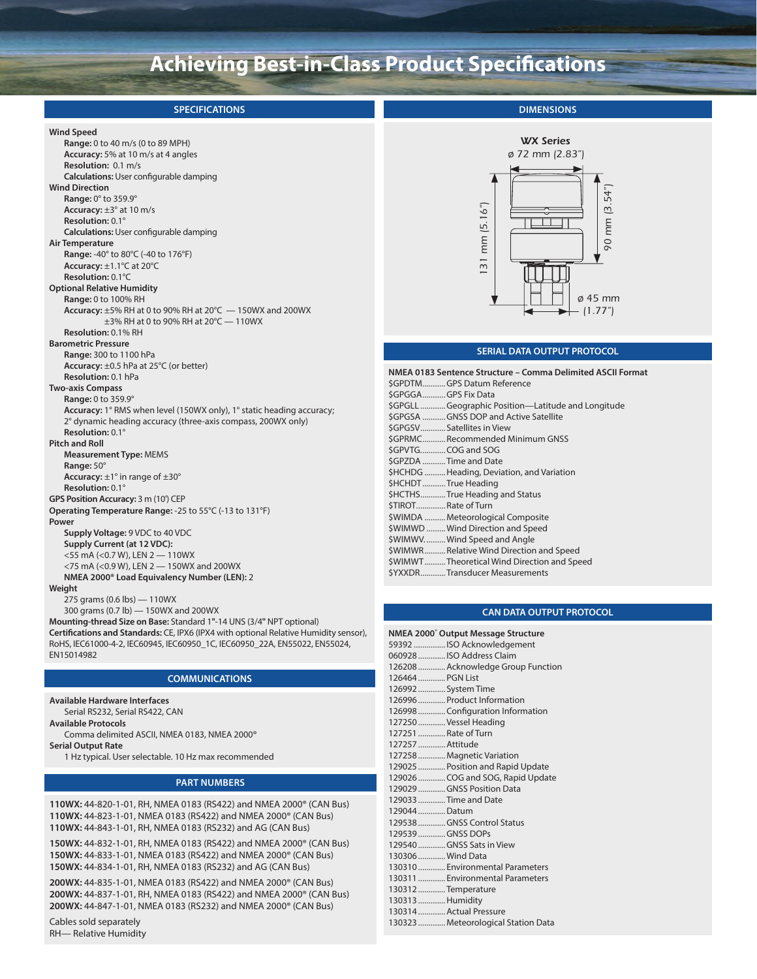# **Achieving Best-in-Class Product Specifications**

| <b>SPECIFICATIONS</b>                                                                                                                                                                                                                                                                                                                                                                                                                  | <b>DIMENSIONS</b>                                                                                                                                                                                                                                                                                                                                                        |
|----------------------------------------------------------------------------------------------------------------------------------------------------------------------------------------------------------------------------------------------------------------------------------------------------------------------------------------------------------------------------------------------------------------------------------------|--------------------------------------------------------------------------------------------------------------------------------------------------------------------------------------------------------------------------------------------------------------------------------------------------------------------------------------------------------------------------|
| <b>Wind Speed</b><br>Range: 0 to 40 m/s (0 to 89 MPH)<br>Accuracy: 5% at 10 m/s at 4 angles<br>Resolution: 0.1 m/s<br><b>Calculations:</b> User configurable damping<br><b>Wind Direction</b><br>Range: 0° to 359.9°<br>Accuracy: $\pm 3^\circ$ at 10 m/s<br>Resolution: 0.1°                                                                                                                                                          | <b>WX Series</b><br>ø 72 mm (2.83")<br>54")<br>(5.16 <sup>n</sup> )<br>mm <sub>3</sub>                                                                                                                                                                                                                                                                                   |
| <b>Calculations:</b> User configurable damping<br>Air Temperature<br><b>Range: -40° to 80°C (-40 to 176°F)</b><br>Accuracy: $\pm 1.1^{\circ}$ C at 20 $^{\circ}$ C<br>Resolution: 0.1°C<br><b>Optional Relative Humidity</b><br><b>Range: 0 to 100% RH</b><br>Accuracy: $\pm$ 5% RH at 0 to 90% RH at 20 $\degree$ C $-$ 150WX and 200WX<br>$\pm$ 3% RH at 0 to 90% RH at 20°C - 110WX<br>Resolution: 0.1% RH                          | mm<br>90<br>$\overline{31}$<br>$\varnothing$ 45 mm<br>– (1.77″)                                                                                                                                                                                                                                                                                                          |
| <b>Barometric Pressure</b><br>Range: 300 to 1100 hPa<br>Accuracy: $\pm 0.5$ hPa at 25 $\degree$ C (or better)                                                                                                                                                                                                                                                                                                                          | SERIAL DATA OUTPUT PROTOCOL<br>NMEA 0183 Sentence Structure - Comma Delimited ASCII Format                                                                                                                                                                                                                                                                               |
| Resolution: 0.1 hPa<br><b>Two-axis Compass</b><br><b>Range: 0 to 359.9°</b><br><b>Accuracy:</b> 1° RMS when level (150WX only), 1° static heading accuracy;<br>2° dynamic heading accuracy (three-axis compass, 200WX only)<br>Resolution: 0.1°<br><b>Pitch and Roll</b><br><b>Measurement Type: MEMS</b><br>Range: 50°<br><b>Accuracy:</b> $\pm$ 1° in range of $\pm$ 30°<br>Resolution: 0.1°<br>GPS Position Accuracy: 3 m (10') CEP | SGPDTMGPS Datum Reference<br>SGPGGAGPS Fix Data<br>\$GPGLL Geographic Position—Latitude and Longitude<br>\$GPGSA GNSS DOP and Active Satellite<br>\$GPGSV Satellites in View<br>\$GPRMC Recommended Minimum GNSS<br>\$GPVTGCOG and SOG<br>\$GPZDA Time and Date<br>\$HCHDG  Heading, Deviation, and Variation<br>\$HCHDT  True Heading<br>\$HCTHSTrue Heading and Status |
| Operating Temperature Range: -25 to 55°C (-13 to 131°F)<br>Power<br>Supply Voltage: 9 VDC to 40 VDC<br>Supply Current (at 12 VDC):<br><55 mA (<0.7 W), LEN 2 - 110WX<br><75 mA (<0.9 W), LEN 2 - 150WX and 200WX<br>NMEA 2000 <sup>®</sup> Load Equivalency Number (LEN): 2                                                                                                                                                            | \$TIROTRate of Turn<br>\$WIMDA  Meteorological Composite<br>\$WIMWD  Wind Direction and Speed<br>\$WIMWVWind Speed and Angle<br>\$WIMWRRelative Wind Direction and Speed<br>\$WIMWTTheoretical Wind Direction and Speed<br>\$YXXDRTransducer Measurements                                                                                                                |
| Weight<br>275 grams (0.6 lbs) - 110WX<br>300 grams (0.7 lb) - 150WX and 200WX<br>Mounting-thread Size on Base: Standard 1"-14 UNS (3/4" NPT optional)<br>Certifications and Standards: CE, IPX6 (IPX4 with optional Relative Humidity sensor),<br>RoHS, IEC61000-4-2, IEC60945, IEC60950_1C, IEC60950_22A, EN55022, EN55024,<br>EN15014982                                                                                             | <b>CAN DATA OUTPUT PROTOCOL</b><br>NMEA 2000° Output Message Structure<br>59392 ISO Acknowledgement<br>060928 ISO Address Claim                                                                                                                                                                                                                                          |

#### **COMMUNICATIONS**

| Available Hardware Interfaces                            |
|----------------------------------------------------------|
| Serial RS232, Serial RS422, CAN                          |
| <b>Available Protocols</b>                               |
| Comma delimited ASCII, NMEA 0183, NMEA 2000 <sup>®</sup> |
| <b>Serial Output Rate</b>                                |
| 1 Hz typical. User selectable. 10 Hz max recommended     |
|                                                          |

#### **PART NUMBERS**

**110WX:** 44-820-1-01, RH, NMEA 0183 (RS422) and NMEA 2000® (CAN Bus) **110WX:** 44-823-1-01, NMEA 0183 (RS422) and NMEA 2000® (CAN Bus) **110WX:** 44-843-1-01, RH, NMEA 0183 (RS232) and AG (CAN Bus)

**150WX:** 44-832-1-01, RH, NMEA 0183 (RS422) and NMEA 2000® (CAN Bus) **150WX:** 44-833-1-01, NMEA 0183 (RS422) and NMEA 2000® (CAN Bus) **150WX:** 44-834-1-01, RH, NMEA 0183 (RS232) and AG (CAN Bus)

**200WX:** 44-835-1-01, NMEA 0183 (RS422) and NMEA 2000® (CAN Bus) **200WX:** 44-837-1-01, RH, NMEA 0183 (RS422) and NMEA 2000® (CAN Bus) **200WX:** 44-847-1-01, NMEA 0183 (RS232) and NMEA 2000® (CAN Bus)

Cables sold separately RH— Relative Humidity

|                  | NMEA 2000' Output Message Structure |
|------------------|-------------------------------------|
|                  | 59392 ISO Acknowledgement           |
|                  | 060928 ISO Address Claim            |
|                  | 126208 Acknowledge Group Function   |
| 126464 PGN List  |                                     |
|                  | 126992  System Time                 |
|                  | 126996 Product Information          |
|                  | 126998Configuration Information     |
|                  | 127250 Vessel Heading               |
|                  | 127251 Rate of Turn                 |
| 127257  Attitude |                                     |
|                  | 127258Magnetic Variation            |
|                  | 129025  Position and Rapid Update   |
|                  | 129026 COG and SOG, Rapid Update    |
|                  | 129029  GNSS Position Data          |
|                  | 129033Time and Date                 |
| 129044  Datum    |                                     |
|                  | 129538GNSS Control Status           |
|                  | 129539GNSS DOPs                     |
|                  | 129540GNSS Sats in View             |
|                  | 130306 Wind Data                    |
|                  | 130310 Environmental Parameters     |
|                  | 130311  Environmental Parameters    |
|                  | 130312Temperature                   |
| 130313Humidity   |                                     |
|                  | 130314 Actual Pressure              |
|                  | 130323  Meteorological Station Data |